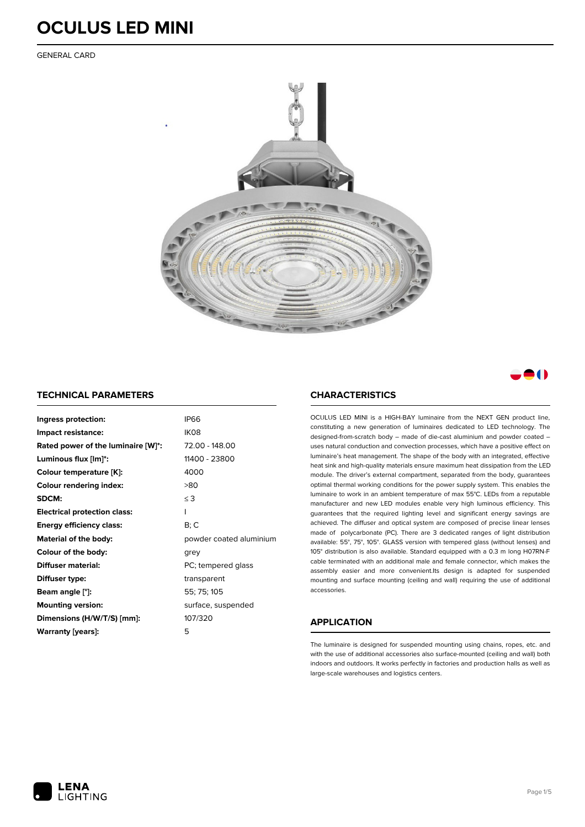GENERAL CARD





#### **TECHNICAL PARAMETERS**

| Ingress protection:                 | <b>IP66</b>             |
|-------------------------------------|-------------------------|
| Impact resistance:                  | IK08                    |
| Rated power of the luminaire [W]*:  | 72.00 - 148.00          |
| Luminous flux [lm]*:                | 11400 - 23800           |
| Colour temperature [K]:             | 4000                    |
| <b>Colour rendering index:</b>      | >80                     |
| SDCM:                               | $\leq$ 3                |
| <b>Electrical protection class:</b> | ı                       |
| <b>Energy efficiency class:</b>     | B; C                    |
| Material of the body:               | powder coated aluminium |
| Colour of the body:                 | grey                    |
| Diffuser material:                  | PC; tempered glass      |
| Diffuser type:                      | transparent             |
| Beam angle [°]:                     | 55; 75; 105             |
| <b>Mounting version:</b>            | surface, suspended      |
| Dimensions (H/W/T/S) [mm]:          | 107/320                 |
| Warranty [years]:                   | 5                       |

### **CHARACTERISTICS**

OCULUS LED MINI is a HIGH-BAY luminaire from the NEXT GEN product line, constituting a new generation of luminaires dedicated to LED technology. The designed-from-scratch body – made of die-cast aluminium and powder coated – uses natural conduction and convection processes, which have a positive effect on luminaire's heat management. The shape of the body with an integrated, effective heat sink and high-quality materials ensure maximum heat dissipation from the LED module. The driver's external compartment, separated from the body, guarantees optimal thermal working conditions for the power supply system. This enables the luminaire to work in an ambient temperature of max 55°C. LEDs from a reputable manufacturer and new LED modules enable very high luminous efficiency. This guarantees that the required lighting level and significant energy savings are achieved. The diffuser and optical system are composed of precise linear lenses made of polycarbonate (PC). There are 3 dedicated ranges of light distribution available: 55°, 75°, 105°. GLASS version with tempered glass (without lenses) and 105° distribution is also available. Standard equipped with a 0.3 m long H07RN-F cable terminated with an additional male and female connector, which makes the assembly easier and more convenient.Its design is adapted for suspended mounting and surface mounting (ceiling and wall) requiring the use of additional accessories.

### **APPLICATION**

The luminaire is designed for suspended mounting using chains, ropes, etc. and with the use of additional accessories also surface-mounted (ceiling and wall) both indoors and outdoors. It works perfectly in factories and production halls as well as large-scale warehouses and logistics centers.

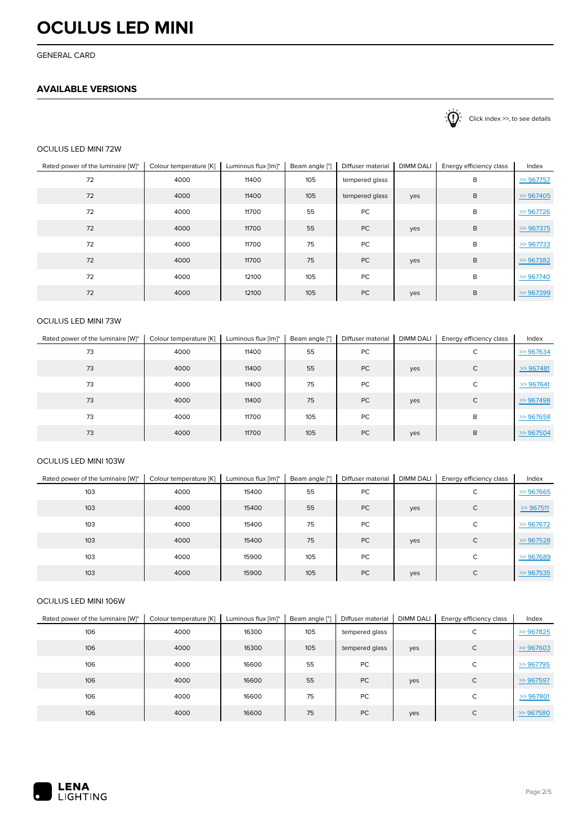GENERAL CARD

# **AVAILABLE VERSIONS**

 $\sum_{n=1}^{\infty}$  Click index >>, to see details

### OCULUS LED MINI 72W

| Rated power of the luminaire [W]* | Colour temperature [K] | Luminous flux [lm]* | Beam angle [°] | Diffuser material | <b>DIMM DALI</b> | Energy efficiency class | Index        |
|-----------------------------------|------------------------|---------------------|----------------|-------------------|------------------|-------------------------|--------------|
| 72                                | 4000                   | 11400               | 105            | tempered glass    |                  | B                       | $\gg$ 967757 |
| 72                                | 4000                   | 11400               | 105            | tempered glass    | yes              | B                       | >967405      |
| 72                                | 4000                   | 11700               | 55             | PC                |                  | B                       | >967726      |
| 72                                | 4000                   | 11700               | 55             | PC                | yes              | B                       | >967375      |
| 72                                | 4000                   | 11700               | 75             | PC                |                  | B                       | $\gg$ 967733 |
| 72                                | 4000                   | 11700               | 75             | PC                | yes              | B                       | >967382      |
| 72                                | 4000                   | 12100               | 105            | PC                |                  | B                       | >967740      |
| 72                                | 4000                   | 12100               | 105            | <b>PC</b>         | yes              | B                       | >967399      |

## OCULUS LED MINI 73W

| Rated power of the luminaire [W]* | Colour temperature [K] | Luminous flux [lm]* | Beam angle [°] | Diffuser material | <b>DIMM DALI</b> | Energy efficiency class | Index        |
|-----------------------------------|------------------------|---------------------|----------------|-------------------|------------------|-------------------------|--------------|
| 73                                | 4000                   | 11400               | 55             | PC                |                  | C                       | >967634      |
| 73                                | 4000                   | 11400               | 55             | PC                | yes              | C                       | $\gg$ 967481 |
| 73                                | 4000                   | 11400               | 75             | PC                |                  | C                       | $\gg$ 967641 |
| 73                                | 4000                   | 11400               | 75             | PC                | yes              | C                       | >967498      |
| 73                                | 4000                   | 11700               | 105            | PC                |                  | B                       | >967658      |
| 73                                | 4000                   | 11700               | 105            | <b>PC</b>         | yes              | B                       | >967504      |

### OCULUS LED MINI 103W

| Rated power of the luminaire [W]* | Colour temperature [K] | Luminous flux [lm]* | Beam angle [°] | Diffuser material | <b>DIMM DALI</b> | Energy efficiency class | Index        |
|-----------------------------------|------------------------|---------------------|----------------|-------------------|------------------|-------------------------|--------------|
| 103                               | 4000                   | 15400               | 55             | PC                |                  | С                       | >967665      |
| 103                               | 4000                   | 15400               | 55             | <b>PC</b>         | yes              | $\mathsf{C}$            | >967511      |
| 103                               | 4000                   | 15400               | 75             | PC                |                  | C                       | $\gg$ 967672 |
| 103                               | 4000                   | 15400               | 75             | <b>PC</b>         | yes              | C                       | >967528      |
| 103                               | 4000                   | 15900               | 105            | PC                |                  | C                       | >967689      |
| 103                               | 4000                   | 15900               | 105            | <b>PC</b>         | yes              | C                       | >967535      |

### OCULUS LED MINI 106W

| Rated power of the luminaire [W]* | Colour temperature [K] | Luminous flux [lm]* | Beam angle [°] | Diffuser material | <b>DIMM DALI</b> | Energy efficiency class | Index         |
|-----------------------------------|------------------------|---------------------|----------------|-------------------|------------------|-------------------------|---------------|
| 106                               | 4000                   | 16300               | 105            | tempered glass    |                  | С                       | $\geq$ 967825 |
| 106                               | 4000                   | 16300               | 105            | tempered glass    | yes              | $\mathsf{C}$            | $\geq$ 967603 |
| 106                               | 4000                   | 16600               | 55             | PC                |                  | C                       | $\geq$ 967795 |
| 106                               | 4000                   | 16600               | 55             | PC                | yes              | $\mathsf{C}$            | $\geq$ 967597 |
| 106                               | 4000                   | 16600               | 75             | PC                |                  | C                       | >967801       |
| 106                               | 4000                   | 16600               | 75             | PC                | yes              | C                       | $\gg$ 967580  |

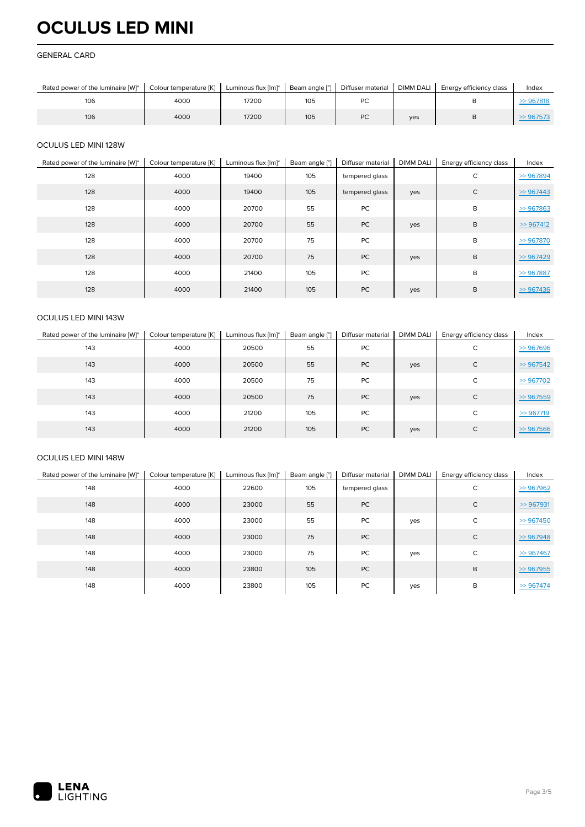#### GENERAL CARD

| Rated power of the luminaire [W]* | Colour temperature [K] | Luminous flux [lm]* | Beam angle [°] | Diffuser material | <b>DIMM DALI</b> | Energy efficiency class | Index |
|-----------------------------------|------------------------|---------------------|----------------|-------------------|------------------|-------------------------|-------|
| 106                               | 4000                   | 17200               | 105            | ั                 |                  |                         |       |
| 106                               | 4000                   | 17200               | 105            | DC<br>PC.         | ves              |                         |       |

### OCULUS LED MINI 128W

| Rated power of the luminaire [W]* | Colour temperature [K] | Luminous flux [lm]* | Beam angle [°] | Diffuser material | <b>DIMM DALI</b> | Energy efficiency class | Index        |
|-----------------------------------|------------------------|---------------------|----------------|-------------------|------------------|-------------------------|--------------|
| 128                               | 4000                   | 19400               | 105            | tempered glass    |                  | C                       | >967894      |
| 128                               | 4000                   | 19400               | 105            | tempered glass    | yes              | $\mathsf{C}$            | $\gg$ 967443 |
| 128                               | 4000                   | 20700               | 55             | PC                |                  | B                       | $\gg$ 967863 |
| 128                               | 4000                   | 20700               | 55             | PC                | yes              | B                       | >967412      |
| 128                               | 4000                   | 20700               | 75             | <b>PC</b>         |                  | B                       | $\gg$ 967870 |
| 128                               | 4000                   | 20700               | 75             | PC                | yes              | B                       | $\gg$ 967429 |
| 128                               | 4000                   | 21400               | 105            | PC                |                  | B                       | $\gg$ 967887 |
| 128                               | 4000                   | 21400               | 105            | <b>PC</b>         | yes              | B                       | $\gg$ 967436 |

### OCULUS LED MINI 143W

| Rated power of the luminaire [W]* | Colour temperature [K] | Luminous flux [lm]* | Beam angle [°] | Diffuser material | <b>DIMM DALI</b> | Energy efficiency class | Index        |
|-----------------------------------|------------------------|---------------------|----------------|-------------------|------------------|-------------------------|--------------|
| 143                               | 4000                   | 20500               | 55             | PC                |                  | С                       | >967696      |
| 143                               | 4000                   | 20500               | 55             | PC                | yes              | C                       | >967542      |
| 143                               | 4000                   | 20500               | 75             | PC                |                  | C                       | >967702      |
| 143                               | 4000                   | 20500               | 75             | PC                | yes              | C                       | >967559      |
| 143                               | 4000                   | 21200               | 105            | PC                |                  | C                       | $\gg$ 967719 |
| 143                               | 4000                   | 21200               | 105            | PC                | yes              | C                       | $\gg$ 967566 |

### OCULUS LED MINI 148W

| Rated power of the luminaire [W]* | Colour temperature [K] | Luminous flux [lm]* | Beam angle [°] | Diffuser material | <b>DIMM DALI</b> | Energy efficiency class | Index        |
|-----------------------------------|------------------------|---------------------|----------------|-------------------|------------------|-------------------------|--------------|
| 148                               | 4000                   | 22600               | 105            | tempered glass    |                  | C                       | $\gg$ 967962 |
| 148                               | 4000                   | 23000               | 55             | PC                |                  | $\mathsf{C}$            | >967931      |
| 148                               | 4000                   | 23000               | 55             | PC                | yes              | C                       | $\gg$ 967450 |
| 148                               | 4000                   | 23000               | 75             | PC                |                  | C                       | $\gg$ 967948 |
| 148                               | 4000                   | 23000               | 75             | PC                | yes              | C                       | $\gg$ 967467 |
| 148                               | 4000                   | 23800               | 105            | PC                |                  | B                       | $\gg$ 967955 |
| 148                               | 4000                   | 23800               | 105            | PC                | yes              | B                       | $\gg$ 967474 |

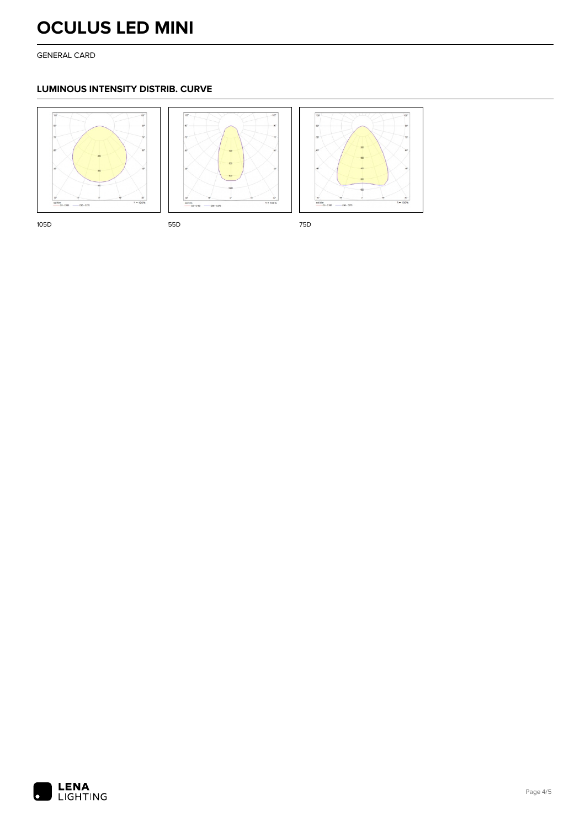GENERAL CARD

# **LUMINOUS INTENSITY DISTRIB. CURVE**







105D 55D 75D 75D